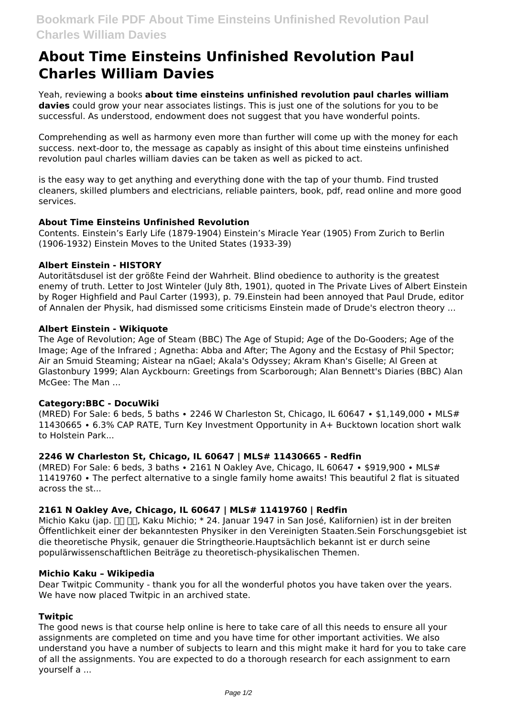# **About Time Einsteins Unfinished Revolution Paul Charles William Davies**

Yeah, reviewing a books **about time einsteins unfinished revolution paul charles william davies** could grow your near associates listings. This is just one of the solutions for you to be successful. As understood, endowment does not suggest that you have wonderful points.

Comprehending as well as harmony even more than further will come up with the money for each success. next-door to, the message as capably as insight of this about time einsteins unfinished revolution paul charles william davies can be taken as well as picked to act.

is the easy way to get anything and everything done with the tap of your thumb. Find trusted cleaners, skilled plumbers and electricians, reliable painters, book, pdf, read online and more good services.

# **About Time Einsteins Unfinished Revolution**

Contents. Einstein's Early Life (1879-1904) Einstein's Miracle Year (1905) From Zurich to Berlin (1906-1932) Einstein Moves to the United States (1933-39)

## **Albert Einstein - HISTORY**

Autoritätsdusel ist der größte Feind der Wahrheit. Blind obedience to authority is the greatest enemy of truth. Letter to Jost Winteler (July 8th, 1901), quoted in The Private Lives of Albert Einstein by Roger Highfield and Paul Carter (1993), p. 79.Einstein had been annoyed that Paul Drude, editor of Annalen der Physik, had dismissed some criticisms Einstein made of Drude's electron theory ...

## **Albert Einstein - Wikiquote**

The Age of Revolution; Age of Steam (BBC) The Age of Stupid; Age of the Do-Gooders; Age of the Image; Age of the Infrared ; Agnetha: Abba and After; The Agony and the Ecstasy of Phil Spector; Air an Smuid Steaming; Aistear na nGael; Akala's Odyssey; Akram Khan's Giselle; Al Green at Glastonbury 1999; Alan Ayckbourn: Greetings from Scarborough; Alan Bennett's Diaries (BBC) Alan McGee: The Man ...

#### **Category:BBC - DocuWiki**

(MRED) For Sale: 6 beds, 5 baths ∙ 2246 W Charleston St, Chicago, IL 60647 ∙ \$1,149,000 ∙ MLS# 11430665 ∙ 6.3% CAP RATE, Turn Key Investment Opportunity in A+ Bucktown location short walk to Holstein Park...

## **2246 W Charleston St, Chicago, IL 60647 | MLS# 11430665 - Redfin**

(MRED) For Sale: 6 beds, 3 baths ∙ 2161 N Oakley Ave, Chicago, IL 60647 ∙ \$919,900 ∙ MLS# 11419760 ∙ The perfect alternative to a single family home awaits! This beautiful 2 flat is situated across the st...

## **2161 N Oakley Ave, Chicago, IL 60647 | MLS# 11419760 | Redfin**

Michio Kaku (jap. <sub>III III</sub>, Kaku Michio; \* 24. Januar 1947 in San José, Kalifornien) ist in der breiten Öffentlichkeit einer der bekanntesten Physiker in den Vereinigten Staaten.Sein Forschungsgebiet ist die theoretische Physik, genauer die Stringtheorie.Hauptsächlich bekannt ist er durch seine populärwissenschaftlichen Beiträge zu theoretisch-physikalischen Themen.

#### **Michio Kaku – Wikipedia**

Dear Twitpic Community - thank you for all the wonderful photos you have taken over the years. We have now placed Twitpic in an archived state.

#### **Twitpic**

The good news is that course help online is here to take care of all this needs to ensure all your assignments are completed on time and you have time for other important activities. We also understand you have a number of subjects to learn and this might make it hard for you to take care of all the assignments. You are expected to do a thorough research for each assignment to earn yourself a ...